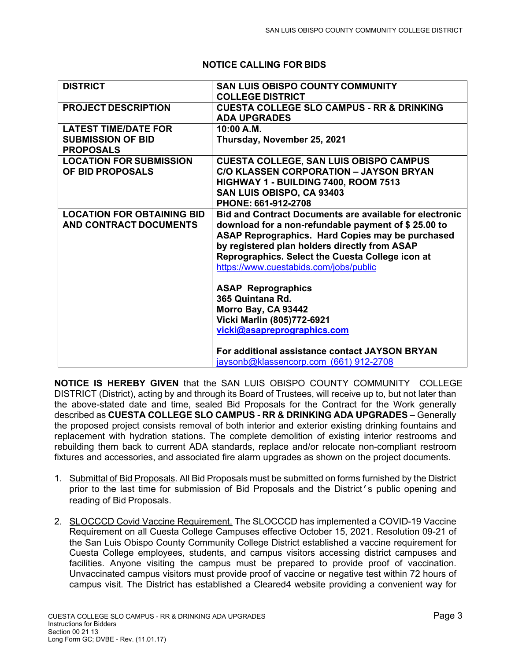| <b>DISTRICT</b>                                                             | <b>SAN LUIS OBISPO COUNTY COMMUNITY</b><br><b>COLLEGE DISTRICT</b>                                                                                                                                                                                                                                                                                                                                                                                            |
|-----------------------------------------------------------------------------|---------------------------------------------------------------------------------------------------------------------------------------------------------------------------------------------------------------------------------------------------------------------------------------------------------------------------------------------------------------------------------------------------------------------------------------------------------------|
| <b>PROJECT DESCRIPTION</b>                                                  | <b>CUESTA COLLEGE SLO CAMPUS - RR &amp; DRINKING</b><br><b>ADA UPGRADES</b>                                                                                                                                                                                                                                                                                                                                                                                   |
| <b>LATEST TIME/DATE FOR</b><br><b>SUBMISSION OF BID</b><br><b>PROPOSALS</b> | 10:00 A.M.<br>Thursday, November 25, 2021                                                                                                                                                                                                                                                                                                                                                                                                                     |
| <b>LOCATION FOR SUBMISSION</b><br>OF BID PROPOSALS                          | <b>CUESTA COLLEGE, SAN LUIS OBISPO CAMPUS</b><br><b>C/O KLASSEN CORPORATION - JAYSON BRYAN</b><br>HIGHWAY 1 - BUILDING 7400, ROOM 7513<br>SAN LUIS OBISPO, CA 93403<br>PHONE: 661-912-2708                                                                                                                                                                                                                                                                    |
| <b>LOCATION FOR OBTAINING BID</b><br>AND CONTRACT DOCUMENTS                 | <b>Bid and Contract Documents are available for electronic</b><br>download for a non-refundable payment of \$25.00 to<br>ASAP Reprographics. Hard Copies may be purchased<br>by registered plan holders directly from ASAP<br>Reprographics. Select the Cuesta College icon at<br>https://www.cuestabids.com/jobs/public<br><b>ASAP Reprographics</b><br>365 Quintana Rd.<br>Morro Bay, CA 93442<br>Vicki Marlin (805)772-6921<br>vicki@asapreprographics.com |
|                                                                             | For additional assistance contact JAYSON BRYAN<br>jaysonb@klassencorp.com (661) 912-2708                                                                                                                                                                                                                                                                                                                                                                      |

## **NOTICE CALLING FOR BIDS**

**NOTICE IS HEREBY GIVEN** that the SAN LUIS OBISPO COUNTY COMMUNITY COLLEGE DISTRICT (District), acting by and through its Board of Trustees, will receive up to, but not later than the above-stated date and time, sealed Bid Proposals for the Contract for the Work generally described as **CUESTA COLLEGE SLO CAMPUS - RR & DRINKING ADA UPGRADES –** Generally the proposed project consists removal of both interior and exterior existing drinking fountains and replacement with hydration stations. The complete demolition of existing interior restrooms and rebuilding them back to current ADA standards, replace and/or relocate non-compliant restroom fixtures and accessories, and associated fire alarm upgrades as shown on the project documents.

- 1. Submittal of Bid Proposals. All Bid Proposals must be submitted on forms furnished by the District prior to the last time for submission of Bid Proposals and the District's public opening and reading of Bid Proposals.
- 2. SLOCCCD Covid Vaccine Requirement. The SLOCCCD has implemented a COVID-19 Vaccine Requirement on all Cuesta College Campuses effective October 15, 2021. Resolution 09-21 of the San Luis Obispo County Community College District established a vaccine requirement for Cuesta College employees, students, and campus visitors accessing district campuses and facilities. Anyone visiting the campus must be prepared to provide proof of vaccination. Unvaccinated campus visitors must provide proof of vaccine or negative test within 72 hours of campus visit. The District has established a Cleared4 website providing a convenient way for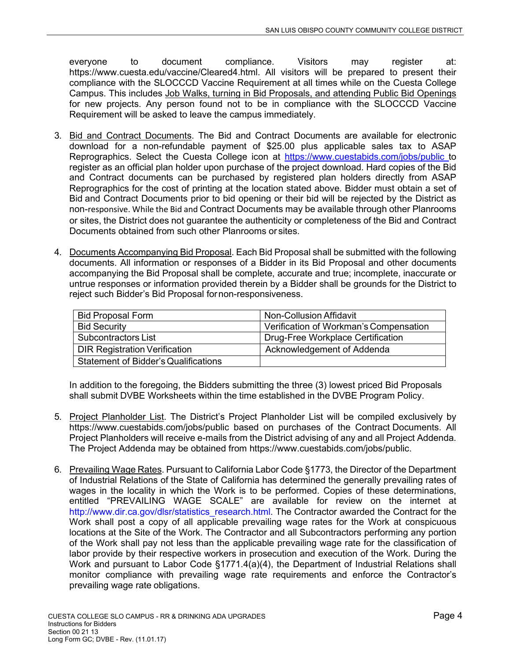everyone to document compliance. Visitors may register at: https://www.cuesta.edu/vaccine/Cleared4.html. All visitors will be prepared to present their compliance with the SLOCCCD Vaccine Requirement at all times while on the Cuesta College Campus. This includes Job Walks, turning in Bid Proposals, and attending Public Bid Openings for new projects. Any person found not to be in compliance with the SLOCCCD Vaccine Requirement will be asked to leave the campus immediately.

- 3. Bid and Contract Documents. The Bid and Contract Documents are available for electronic download for a non-refundable payment of \$25.00 plus applicable sales tax to ASAP Reprographics. Select the Cuesta College icon at https://www.cuestabids.com/jobs/public to register as an official plan holder upon purchase of the project download. Hard copies of the Bid and Contract documents can be purchased by registered plan holders directly from ASAP Reprographics for the cost of printing at the location stated above. Bidder must obtain a set of Bid and Contract Documents prior to bid opening or their bid will be rejected by the District as non-responsive. While the Bid and Contract Documents may be available through other Planrooms or sites, the District does not guarantee the authenticity or completeness of the Bid and Contract Documents obtained from such other Planrooms or sites.
- 4. Documents Accompanying Bid Proposal. Each Bid Proposal shall be submitted with the following documents. All information or responses of a Bidder in its Bid Proposal and other documents accompanying the Bid Proposal shall be complete, accurate and true; incomplete, inaccurate or untrue responses or information provided therein by a Bidder shall be grounds for the District to reject such Bidder's Bid Proposal for non-responsiveness.

| <b>Bid Proposal Form</b>                    | Non-Collusion Affidavit                |
|---------------------------------------------|----------------------------------------|
| <b>Bid Security</b>                         | Verification of Workman's Compensation |
| Subcontractors List                         | Drug-Free Workplace Certification      |
| <b>DIR Registration Verification</b>        | Acknowledgement of Addenda             |
| <b>Statement of Bidder's Qualifications</b> |                                        |

In addition to the foregoing, the Bidders submitting the three (3) lowest priced Bid Proposals shall submit DVBE Worksheets within the time established in the DVBE Program Policy.

- 5. Project Planholder List. The District's Project Planholder List will be compiled exclusively by https://www.cuestabids.com/jobs/public based on purchases of the Contract Documents. All Project Planholders will receive e-mails from the District advising of any and all Project Addenda. The Project Addenda may be obtained from https://www.cuestabids.com/jobs/public.
- 6. Prevailing Wage Rates. Pursuant to California Labor Code §1773, the Director of the Department of Industrial Relations of the State of California has determined the generally prevailing rates of wages in the locality in which the Work is to be performed. Copies of these determinations, entitled "PREVAILING WAGE SCALE" are available for review on the internet at http://www.dir.ca.gov/dlsr/statistics\_research.html. The Contractor awarded the Contract for the Work shall post a copy of all applicable prevailing wage rates for the Work at conspicuous locations at the Site of the Work. The Contractor and all Subcontractors performing any portion of the Work shall pay not less than the applicable prevailing wage rate for the classification of labor provide by their respective workers in prosecution and execution of the Work. During the Work and pursuant to Labor Code §1771.4(a)(4), the Department of Industrial Relations shall monitor compliance with prevailing wage rate requirements and enforce the Contractor's prevailing wage rate obligations.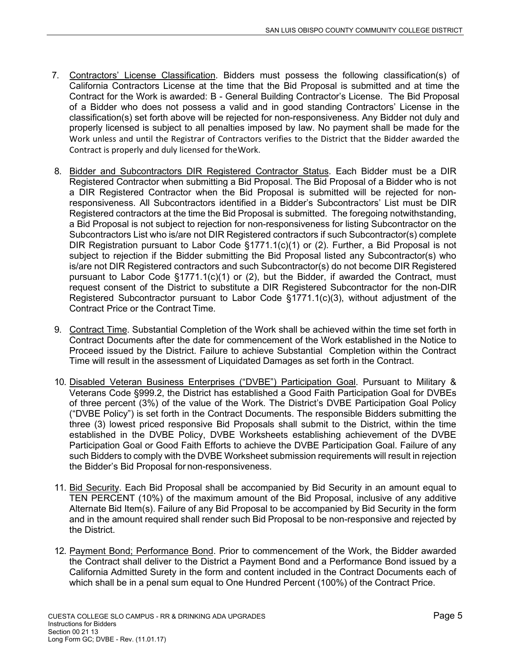- 7. Contractors' License Classification. Bidders must possess the following classification(s) of California Contractors License at the time that the Bid Proposal is submitted and at time the Contract for the Work is awarded: B - General Building Contractor's License. The Bid Proposal of a Bidder who does not possess a valid and in good standing Contractors' License in the classification(s) set forth above will be rejected for non-responsiveness. Any Bidder not duly and properly licensed is subject to all penalties imposed by law. No payment shall be made for the Work unless and until the Registrar of Contractors verifies to the District that the Bidder awarded the Contract is properly and duly licensed for the Work.
- 8. Bidder and Subcontractors DIR Registered Contractor Status. Each Bidder must be a DIR Registered Contractor when submitting a Bid Proposal. The Bid Proposal of a Bidder who is not a DIR Registered Contractor when the Bid Proposal is submitted will be rejected for nonresponsiveness. All Subcontractors identified in a Bidder's Subcontractors' List must be DIR Registered contractors at the time the Bid Proposal is submitted. The foregoing notwithstanding, a Bid Proposal is not subject to rejection for non-responsiveness for listing Subcontractor on the Subcontractors List who is/are not DIR Registered contractors if such Subcontractor(s) complete DIR Registration pursuant to Labor Code §1771.1(c)(1) or (2). Further, a Bid Proposal is not subject to rejection if the Bidder submitting the Bid Proposal listed any Subcontractor(s) who is/are not DIR Registered contractors and such Subcontractor(s) do not become DIR Registered pursuant to Labor Code  $\S1771.1(c)(1)$  or (2), but the Bidder, if awarded the Contract, must request consent of the District to substitute a DIR Registered Subcontractor for the non-DIR Registered Subcontractor pursuant to Labor Code §1771.1(c)(3), without adjustment of the Contract Price or the Contract Time.
- 9. Contract Time. Substantial Completion of the Work shall be achieved within the time set forth in Contract Documents after the date for commencement of the Work established in the Notice to Proceed issued by the District. Failure to achieve Substantial Completion within the Contract Time will result in the assessment of Liquidated Damages as set forth in the Contract.
- 10. Disabled Veteran Business Enterprises ("DVBE") Participation Goal. Pursuant to Military & Veterans Code §999.2, the District has established a Good Faith Participation Goal for DVBEs of three percent (3%) of the value of the Work. The District's DVBE Participation Goal Policy ("DVBE Policy") is set forth in the Contract Documents. The responsible Bidders submitting the three (3) lowest priced responsive Bid Proposals shall submit to the District, within the time established in the DVBE Policy, DVBE Worksheets establishing achievement of the DVBE Participation Goal or Good Faith Efforts to achieve the DVBE Participation Goal. Failure of any such Bidders to comply with the DVBE Worksheet submission requirements will result in rejection the Bidder's Bid Proposal for non-responsiveness.
- 11. Bid Security. Each Bid Proposal shall be accompanied by Bid Security in an amount equal to TEN PERCENT (10%) of the maximum amount of the Bid Proposal, inclusive of any additive Alternate Bid Item(s). Failure of any Bid Proposal to be accompanied by Bid Security in the form and in the amount required shall render such Bid Proposal to be non-responsive and rejected by the District.
- 12. Payment Bond; Performance Bond. Prior to commencement of the Work, the Bidder awarded the Contract shall deliver to the District a Payment Bond and a Performance Bond issued by a California Admitted Surety in the form and content included in the Contract Documents each of which shall be in a penal sum equal to One Hundred Percent (100%) of the Contract Price.